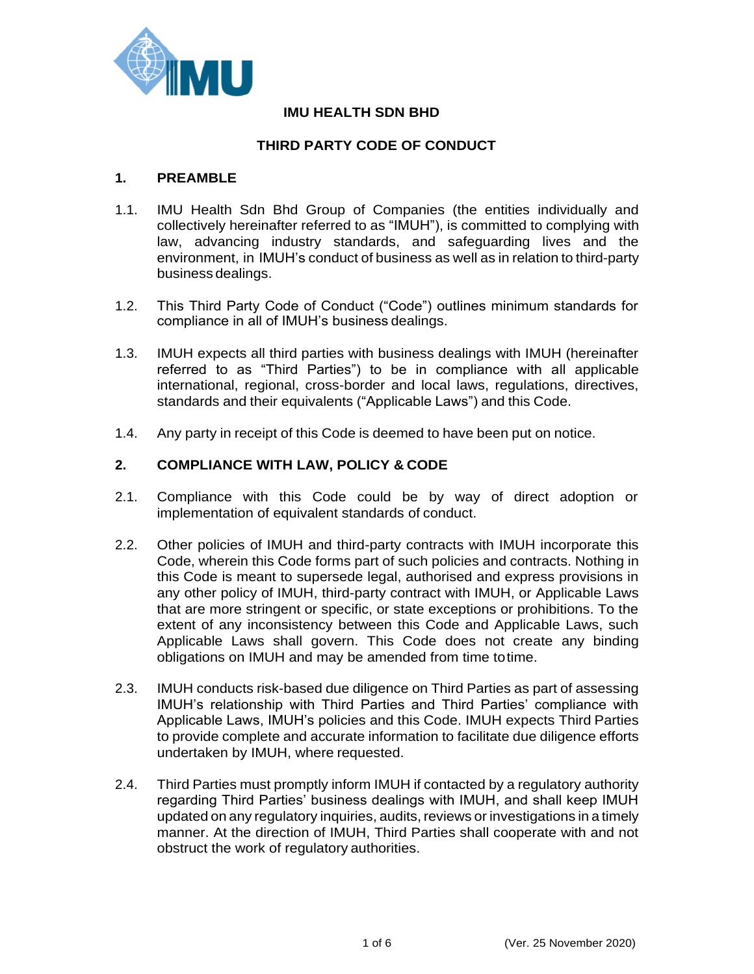

## **IMU HEALTH SDN BHD**

# **THIRD PARTY CODE OF CONDUCT**

### **1. PREAMBLE**

- 1.1. IMU Health Sdn Bhd Group of Companies (the entities individually and collectively hereinafter referred to as "IMUH"), is committed to complying with law, advancing industry standards, and safeguarding lives and the environment, in IMUH's conduct of business as well as in relation to third-party business dealings.
- 1.2. This Third Party Code of Conduct ("Code") outlines minimum standards for compliance in all of IMUH's business dealings.
- 1.3. IMUH expects all third parties with business dealings with IMUH (hereinafter referred to as "Third Parties") to be in compliance with all applicable international, regional, cross-border and local laws, regulations, directives, standards and their equivalents ("Applicable Laws") and this Code.
- 1.4. Any party in receipt of this Code is deemed to have been put on notice.

## **2. COMPLIANCE WITH LAW, POLICY & CODE**

- 2.1. Compliance with this Code could be by way of direct adoption or implementation of equivalent standards of conduct.
- 2.2. Other policies of IMUH and third-party contracts with IMUH incorporate this Code, wherein this Code forms part of such policies and contracts. Nothing in this Code is meant to supersede legal, authorised and express provisions in any other policy of IMUH, third-party contract with IMUH, or Applicable Laws that are more stringent or specific, or state exceptions or prohibitions. To the extent of any inconsistency between this Code and Applicable Laws, such Applicable Laws shall govern. This Code does not create any binding obligations on IMUH and may be amended from time totime.
- 2.3. IMUH conducts risk-based due diligence on Third Parties as part of assessing IMUH's relationship with Third Parties and Third Parties' compliance with Applicable Laws, IMUH's policies and this Code. IMUH expects Third Parties to provide complete and accurate information to facilitate due diligence efforts undertaken by IMUH, where requested.
- 2.4. Third Parties must promptly inform IMUH if contacted by a regulatory authority regarding Third Parties' business dealings with IMUH, and shall keep IMUH updated on any regulatory inquiries, audits, reviews or investigations in a timely manner. At the direction of IMUH, Third Parties shall cooperate with and not obstruct the work of regulatory authorities.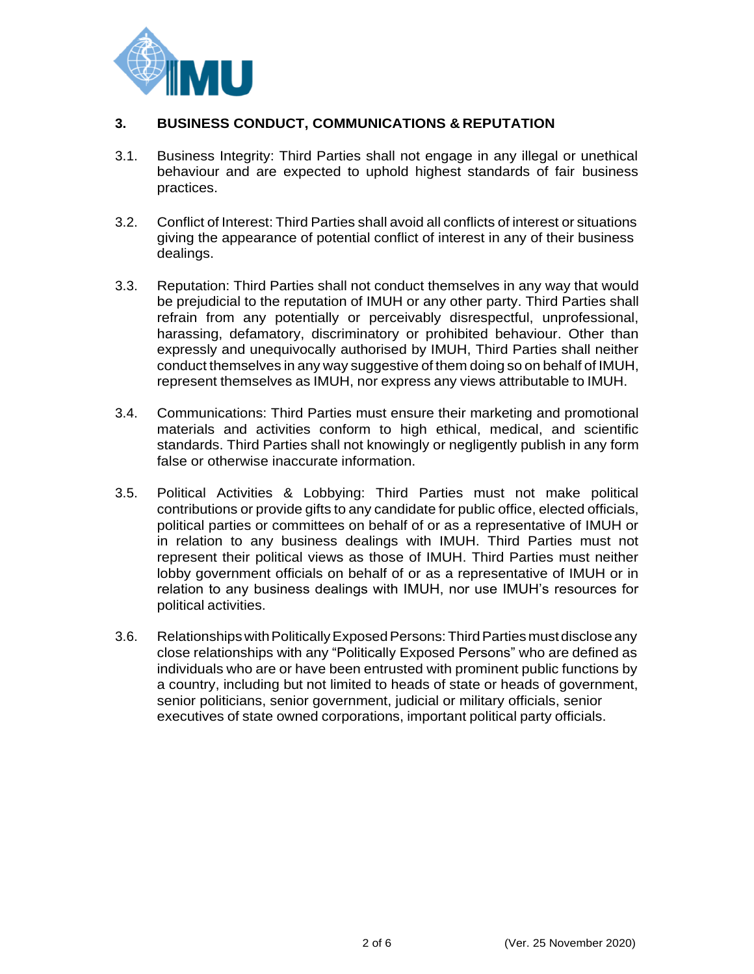

# **3. BUSINESS CONDUCT, COMMUNICATIONS & REPUTATION**

- 3.1. Business Integrity: Third Parties shall not engage in any illegal or unethical behaviour and are expected to uphold highest standards of fair business practices.
- 3.2. Conflict of Interest: Third Parties shall avoid all conflicts of interest or situations giving the appearance of potential conflict of interest in any of their business dealings.
- 3.3. Reputation: Third Parties shall not conduct themselves in any way that would be prejudicial to the reputation of IMUH or any other party. Third Parties shall refrain from any potentially or perceivably disrespectful, unprofessional, harassing, defamatory, discriminatory or prohibited behaviour. Other than expressly and unequivocally authorised by IMUH, Third Parties shall neither conduct themselves in any way suggestive of them doing so on behalf of IMUH, represent themselves as IMUH, nor express any views attributable to IMUH.
- 3.4. Communications: Third Parties must ensure their marketing and promotional materials and activities conform to high ethical, medical, and scientific standards. Third Parties shall not knowingly or negligently publish in any form false or otherwise inaccurate information.
- 3.5. Political Activities & Lobbying: Third Parties must not make political contributions or provide gifts to any candidate for public office, elected officials, political parties or committees on behalf of or as a representative of IMUH or in relation to any business dealings with IMUH. Third Parties must not represent their political views as those of IMUH. Third Parties must neither lobby government officials on behalf of or as a representative of IMUH or in relation to any business dealings with IMUH, nor use IMUH's resources for political activities.
- 3.6. Relationships with Politically Exposed Persons: Third Parties must disclose any close relationships with any "Politically Exposed Persons" who are defined as individuals who are or have been entrusted with prominent public functions by a country, including but not limited to heads of state or heads of government, senior politicians, senior government, judicial or military officials, senior executives of state owned corporations, important political party officials.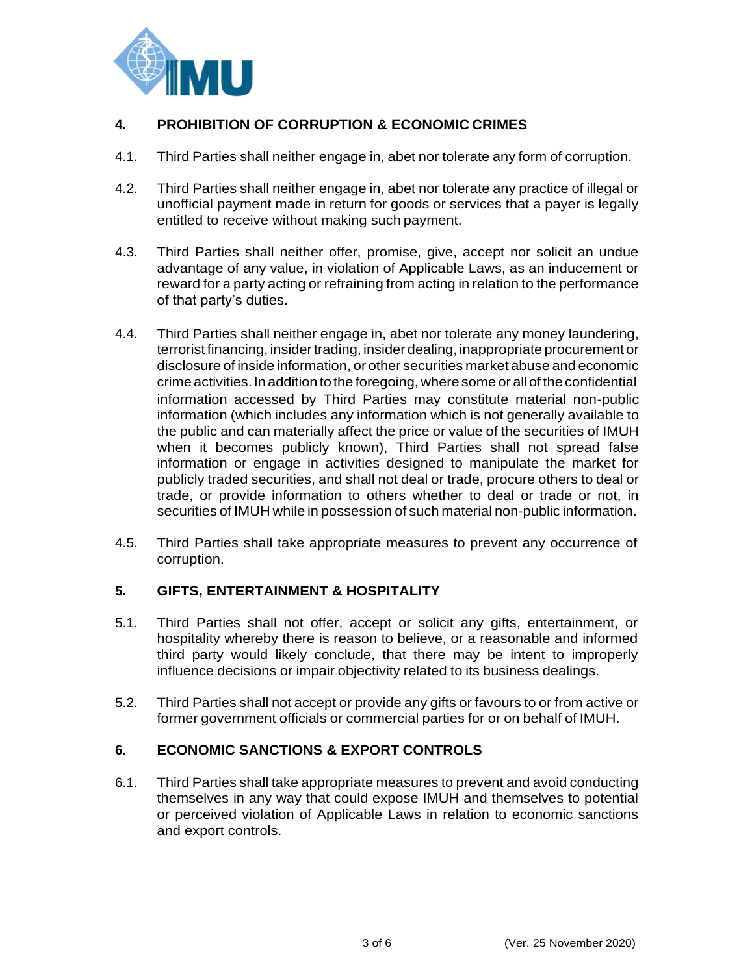

# **4. PROHIBITION OF CORRUPTION & ECONOMIC CRIMES**

- 4.1. Third Parties shall neither engage in, abet nor tolerate any form of corruption.
- 4.2. Third Parties shall neither engage in, abet nor tolerate any practice of illegal or unofficial payment made in return for goods or services that a payer is legally entitled to receive without making such payment.
- 4.3. Third Parties shall neither offer, promise, give, accept nor solicit an undue advantage of any value, in violation of Applicable Laws, as an inducement or reward for a party acting or refraining from acting in relation to the performance of that party's duties.
- 4.4. Third Parties shall neither engage in, abet nor tolerate any money laundering, terrorist financing, insider trading, insider dealing, inappropriate procurement or disclosure of inside information, or other securities market abuse and economic crime activities.In addition tothe foregoing, wheresome or all of the confidential information accessed by Third Parties may constitute material non-public information (which includes any information which is not generally available to the public and can materially affect the price or value of the securities of IMUH when it becomes publicly known), Third Parties shall not spread false information or engage in activities designed to manipulate the market for publicly traded securities, and shall not deal or trade, procure others to deal or trade, or provide information to others whether to deal or trade or not, in securities of IMUH while in possession of such material non-public information.
- 4.5. Third Parties shall take appropriate measures to prevent any occurrence of corruption.

## **5. GIFTS, ENTERTAINMENT & HOSPITALITY**

- 5.1. Third Parties shall not offer, accept or solicit any gifts, entertainment, or hospitality whereby there is reason to believe, or a reasonable and informed third party would likely conclude, that there may be intent to improperly influence decisions or impair objectivity related to its business dealings.
- 5.2. Third Parties shall not accept or provide any gifts or favours to or from active or former government officials or commercial parties for or on behalf of IMUH.

## **6. ECONOMIC SANCTIONS & EXPORT CONTROLS**

6.1. Third Parties shall take appropriate measures to prevent and avoid conducting themselves in any way that could expose IMUH and themselves to potential or perceived violation of Applicable Laws in relation to economic sanctions and export controls.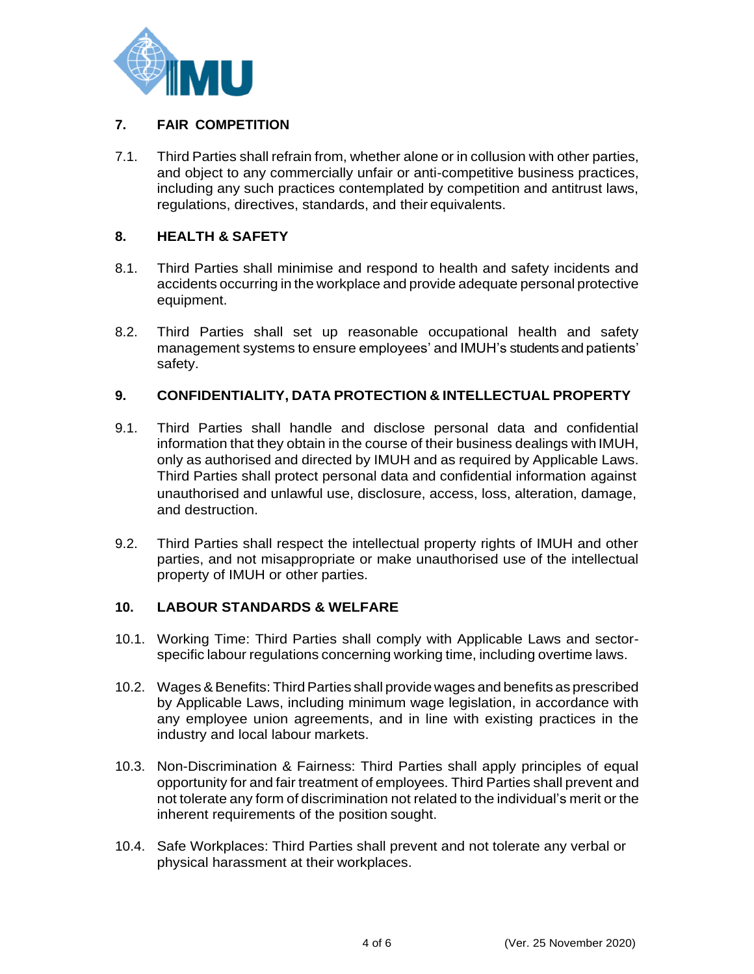

# **7. FAIR COMPETITION**

7.1. Third Parties shall refrain from, whether alone or in collusion with other parties, and object to any commercially unfair or anti-competitive business practices, including any such practices contemplated by competition and antitrust laws, regulations, directives, standards, and their equivalents.

# **8. HEALTH & SAFETY**

- 8.1. Third Parties shall minimise and respond to health and safety incidents and accidents occurring in the workplace and provide adequate personal protective equipment.
- 8.2. Third Parties shall set up reasonable occupational health and safety management systems to ensure employees' and IMUH's students and patients' safety.

# **9. CONFIDENTIALITY, DATA PROTECTION & INTELLECTUAL PROPERTY**

- 9.1. Third Parties shall handle and disclose personal data and confidential information that they obtain in the course of their business dealings with IMUH, only as authorised and directed by IMUH and as required by Applicable Laws. Third Parties shall protect personal data and confidential information against unauthorised and unlawful use, disclosure, access, loss, alteration, damage, and destruction.
- 9.2. Third Parties shall respect the intellectual property rights of IMUH and other parties, and not misappropriate or make unauthorised use of the intellectual property of IMUH or other parties.

## **10. LABOUR STANDARDS & WELFARE**

- 10.1. Working Time: Third Parties shall comply with Applicable Laws and sectorspecific labour regulations concerning working time, including overtime laws.
- 10.2. Wages & Benefits: Third Parties shall provide wages and benefits as prescribed by Applicable Laws, including minimum wage legislation, in accordance with any employee union agreements, and in line with existing practices in the industry and local labour markets.
- 10.3. Non-Discrimination & Fairness: Third Parties shall apply principles of equal opportunity for and fair treatment of employees. Third Parties shall prevent and not tolerate any form of discrimination not related to the individual's merit or the inherent requirements of the position sought.
- 10.4. Safe Workplaces: Third Parties shall prevent and not tolerate any verbal or physical harassment at their workplaces.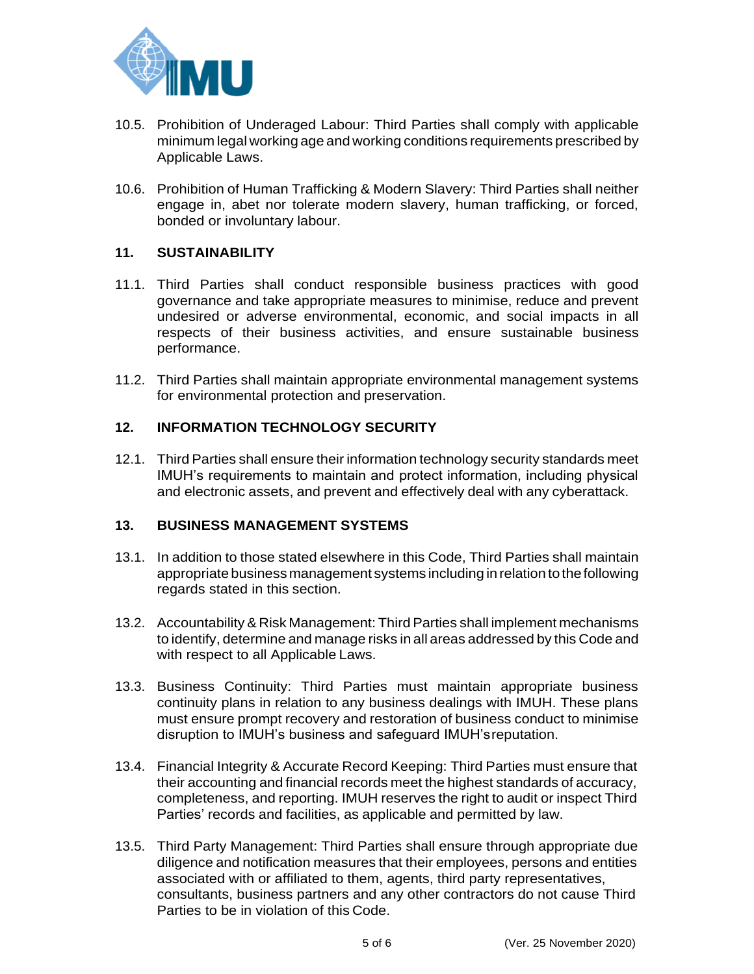

- 10.5. Prohibition of Underaged Labour: Third Parties shall comply with applicable minimum legal working age and working conditions requirements prescribed by Applicable Laws.
- 10.6. Prohibition of Human Trafficking & Modern Slavery: Third Parties shall neither engage in, abet nor tolerate modern slavery, human trafficking, or forced, bonded or involuntary labour.

#### **11. SUSTAINABILITY**

- 11.1. Third Parties shall conduct responsible business practices with good governance and take appropriate measures to minimise, reduce and prevent undesired or adverse environmental, economic, and social impacts in all respects of their business activities, and ensure sustainable business performance.
- 11.2. Third Parties shall maintain appropriate environmental management systems for environmental protection and preservation.

### **12. INFORMATION TECHNOLOGY SECURITY**

12.1. Third Parties shall ensure their information technology security standards meet IMUH's requirements to maintain and protect information, including physical and electronic assets, and prevent and effectively deal with any cyberattack.

#### **13. BUSINESS MANAGEMENT SYSTEMS**

- 13.1. In addition to those stated elsewhere in this Code, Third Parties shall maintain appropriate business management systems including in relation tothefollowing regards stated in this section.
- 13.2. Accountability & Risk Management: Third Parties shall implement mechanisms to identify, determine and manage risks in all areas addressed by this Code and with respect to all Applicable Laws.
- 13.3. Business Continuity: Third Parties must maintain appropriate business continuity plans in relation to any business dealings with IMUH. These plans must ensure prompt recovery and restoration of business conduct to minimise disruption to IMUH's business and safeguard IMUH'sreputation.
- 13.4. Financial Integrity & Accurate Record Keeping: Third Parties must ensure that their accounting and financial records meet the highest standards of accuracy, completeness, and reporting. IMUH reserves the right to audit or inspect Third Parties' records and facilities, as applicable and permitted by law.
- 13.5. Third Party Management: Third Parties shall ensure through appropriate due diligence and notification measures that their employees, persons and entities associated with or affiliated to them, agents, third party representatives, consultants, business partners and any other contractors do not cause Third Parties to be in violation of this Code.